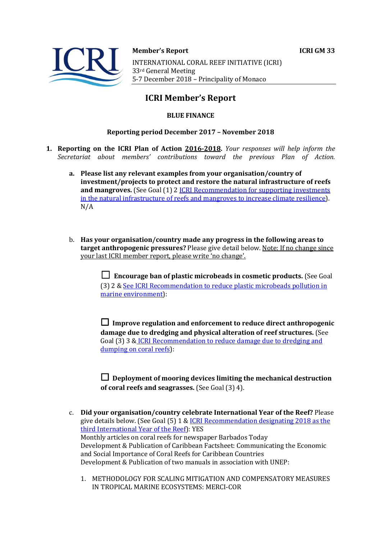

**Member's Report ICRI GM 33** 

INTERNATIONAL CORAL REEF INITIATIVE (ICRI) 33rd General Meeting 5-7 December 2018 - Principality of Monaco

# **ICRI Member's Report**

## **BLUE FINANCE**

## **Reporting period December 2017 - November 2018**

- **1. Reporting on the ICRI Plan of Action 2016-2018.** *Your responses will help inform the Secretariat about members' contributions toward the previous Plan of Action.*
	- a. Please list any relevant examples from your organisation/country of **investment/projects to protect and restore the natural infrastructure of reefs and mangroves.** (See Goal (1) 2 *ICRI Recommendation for supporting investments* in the natural infrastructure of reefs and mangroves to increase climate resilience). N/A
	- b. Has your organisation/country made any progress in the following areas to **target anthropogenic pressures?** Please give detail below. Note: If no change since your last ICRI member report, please write 'no change'.

☐ **Encourage ban of plastic microbeads in cosmetic products.** (See Goal (3) 2 & See ICRI Recommendation to reduce plastic microbeads pollution in marine environment):

 $\Box$  Improve regulation and enforcement to reduce direct anthropogenic **damage due to dredging and physical alteration of reef structures.** (See Goal (3) 3 & ICRI Recommendation to reduce damage due to dredging and dumping on coral reefs):

 $\Box$  Deployment of mooring devices limiting the mechanical destruction **of coral reefs and seagrasses.** (See Goal (3) 4).

- c. **Did your organisation/country celebrate International Year of the Reef?** Please give details below. (See Goal  $(5)$  1 & ICRI Recommendation designating 2018 as the third International Year of the Reef): YES Monthly articles on coral reefs for newspaper Barbados Today Development & Publication of Caribbean Factsheet: Communicating the Economic and Social Importance of Coral Reefs for Caribbean Countries Development & Publication of two manuals in association with UNEP:
	- 1. METHODOLOGY FOR SCALING MITIGATION AND COMPENSATORY MEASURES IN TROPICAL MARINE ECOSYSTEMS: MERCI-COR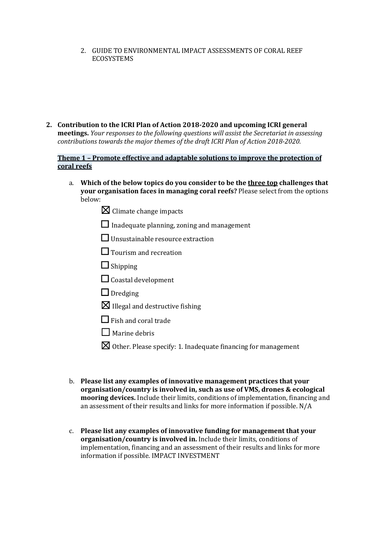2. GUIDE TO ENVIRONMENTAL IMPACT ASSESSMENTS OF CORAL REEF ECOSYSTEMS

2. Contribution to the ICRI Plan of Action 2018-2020 and upcoming ICRI general **meetings.** *Your responses to the following questions will assist the Secretariat in assessing contributions towards the major themes of the draft ICRI Plan of Action 2018-2020.* 

#### **Theme 1 - Promote effective and adaptable solutions to improve the protection of coral reefs**

- a. Which of the below topics do you consider to be the three top challenges that **your organisation faces in managing coral reefs?** Please select from the options below:
	- $\boxtimes$  Climate change impacts
	- $\Box$  Inadequate planning, zoning and management
	- $\Box$  Unsustainable resource extraction
	- □ Tourism and recreation
	- $\Box$  Shipping
	- $\Box$  Coastal development
	- □ Dredging
	- $\boxtimes$  Illegal and destructive fishing
	- $\Box$  Fish and coral trade
	- $\Box$  Marine debris
	- $\boxtimes$  Other. Please specify: 1. Inadequate financing for management
- b. Please list any examples of innovative management practices that your **organisation/country is involved in, such as use of VMS, drones & ecological mooring devices.** Include their limits, conditions of implementation, financing and an assessment of their results and links for more information if possible.  $N/A$
- c. Please list any examples of innovative funding for management that your **organisation/country is involved in.** Include their limits, conditions of implementation, financing and an assessment of their results and links for more information if possible. IMPACT INVESTMENT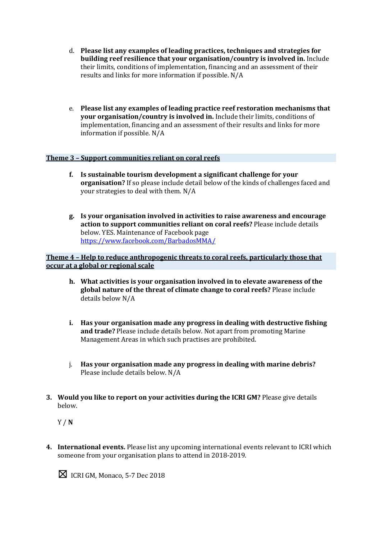- d. Please list any examples of leading practices, techniques and strategies for **building reef resilience that your organisation/country is involved in.** Include their limits, conditions of implementation, financing and an assessment of their results and links for more information if possible. N/A
- e. Please list any examples of leading practice reef restoration mechanisms that **your organisation/country is involved in.** Include their limits, conditions of implementation, financing and an assessment of their results and links for more information if possible.  $N/A$

#### **Theme 3 - Support communities reliant on coral reefs**

- **f.** Is sustainable tourism development a significant challenge for your **organisation?** If so please include detail below of the kinds of challenges faced and your strategies to deal with them. N/A
- **g. Is your organisation involved in activities to raise awareness and encourage action to support communities reliant on coral reefs?** Please include details below. YES. Maintenance of Facebook page https://www.facebook.com/BarbadosMMA/

## **Theme 4 - Help to reduce anthropogenic threats to coral reefs, particularly those that occur at a global or regional scale**

- h. What activities is your organisation involved in to elevate awareness of the global nature of the threat of climate change to coral reefs? Please include details below N/A
- **i.** Has your organisation made any progress in dealing with destructive fishing **and trade?** Please include details below. Not apart from promoting Marine Management Areas in which such practises are prohibited.
- j. Has your organisation made any progress in dealing with marine debris? Please include details below. N/A
- **3.** Would you like to report on your activities during the ICRI GM? Please give details below.

Y / **N**

**4.** International events. Please list any upcoming international events relevant to ICRI which someone from your organisation plans to attend in 2018-2019.

 $\boxtimes$  ICRI GM, Monaco, 5-7 Dec 2018